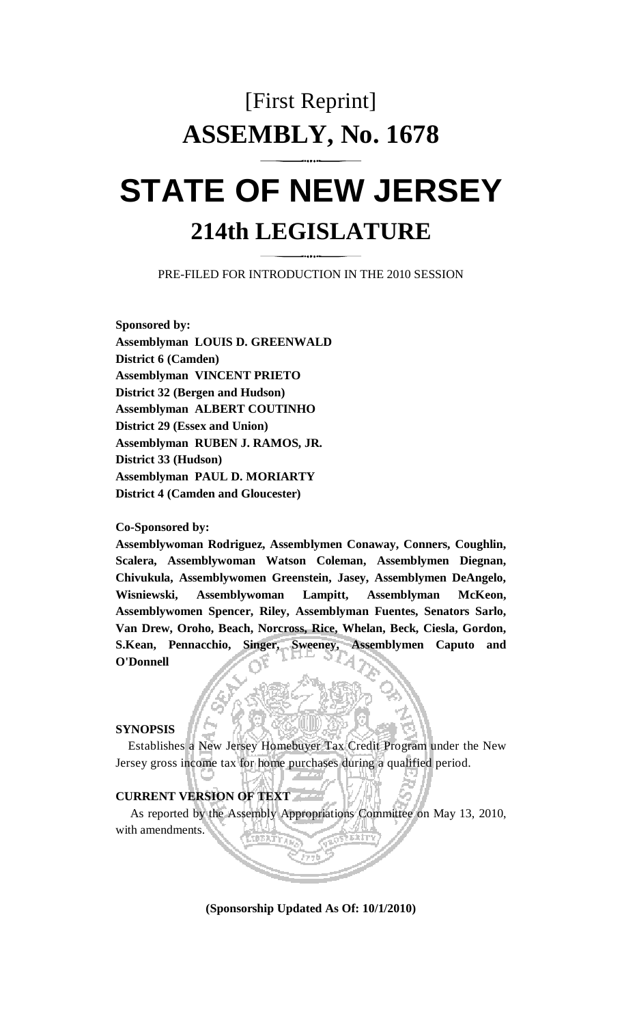# [First Reprint] **ASSEMBLY, No. 1678**

# **STATE OF NEW JERSEY 214th LEGISLATURE**

PRE-FILED FOR INTRODUCTION IN THE 2010 SESSION

**Sponsored by: Assemblyman LOUIS D. GREENWALD District 6 (Camden) Assemblyman VINCENT PRIETO District 32 (Bergen and Hudson) Assemblyman ALBERT COUTINHO District 29 (Essex and Union) Assemblyman RUBEN J. RAMOS, JR. District 33 (Hudson) Assemblyman PAUL D. MORIARTY District 4 (Camden and Gloucester)** 

#### **Co-Sponsored by:**

**Assemblywoman Rodriguez, Assemblymen Conaway, Conners, Coughlin, Scalera, Assemblywoman Watson Coleman, Assemblymen Diegnan, Chivukula, Assemblywomen Greenstein, Jasey, Assemblymen DeAngelo, Wisniewski, Assemblywoman Lampitt, Assemblyman McKeon, Assemblywomen Spencer, Riley, Assemblyman Fuentes, Senators Sarlo, Van Drew, Oroho, Beach, Norcross, Rice, Whelan, Beck, Ciesla, Gordon, S.Kean, Pennacchio, Singer, Sweeney, Assemblymen Caputo and O'Donnell** 

### **SYNOPSIS**

 Establishes a New Jersey Homebuyer Tax Credit Program under the New Jersey gross income tax for home purchases during a qualified period.

## **CURRENT VERSION OF TEXT**

 As reported by the Assembly Appropriations Committee on May 13, 2010, with amendments.

**(Sponsorship Updated As Of: 10/1/2010)**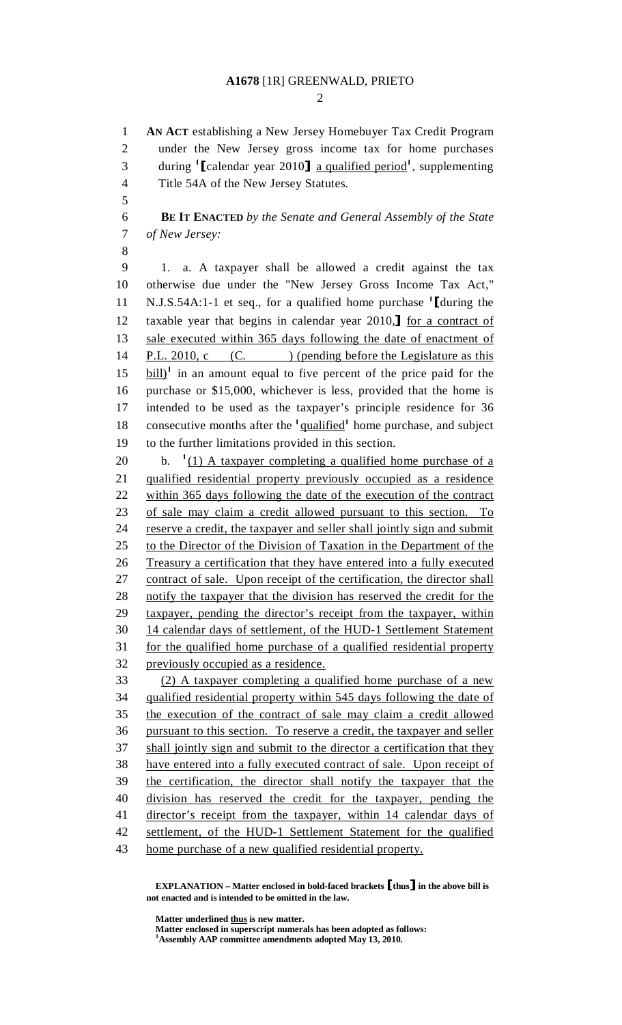#### **A1678** [1R] GREENWALD, PRIETO

 $\mathcal{D}_{\mathcal{L}}$ 

1 **AN ACT** establishing a New Jersey Homebuyer Tax Credit Program 2 under the New Jersey gross income tax for home purchases during  $\left[ \text{Calendar year } 2010 \right]$  <u>a qualified period</u><sup>1</sup>, supplementing 4 Title 54A of the New Jersey Statutes. 5 6 **BE IT ENACTED** *by the Senate and General Assembly of the State*  7 *of New Jersey:* 8 9 1. a. A taxpayer shall be allowed a credit against the tax 10 otherwise due under the "New Jersey Gross Income Tax Act," N.J.S.54A:1-1 et seq., for a qualified home purchase  $^1$ [during the taxable vear that begins in calendar vear 2010.<sup>1</sup> for a contract of 12 taxable year that begins in calendar year 2010, I for a contract of sale executed within 365 days following the date of enactment of sale executed within 365 days following the date of enactment of 14 P.L. 2010, c (C. ) (pending before the Legislature as this  $15$   $\frac{bill}{1}$  in an amount equal to five percent of the price paid for the 16 purchase or \$15,000, whichever is less, provided that the home is 17 intended to be used as the taxpayer's principle residence for 36 18 consecutive months after the <sup>1</sup>qualified<sup>1</sup> home purchase, and subject 19 to the further limitations provided in this section. 20 b.  $(1)$  A taxpayer completing a qualified home purchase of a 21 qualified residential property previously occupied as a residence 22 within 365 days following the date of the execution of the contract 23 of sale may claim a credit allowed pursuant to this section. To 24 reserve a credit, the taxpayer and seller shall jointly sign and submit 25 to the Director of the Division of Taxation in the Department of the 26 Treasury a certification that they have entered into a fully executed 27 contract of sale. Upon receipt of the certification, the director shall 28 notify the taxpayer that the division has reserved the credit for the 29 taxpayer, pending the director's receipt from the taxpayer, within 30 14 calendar days of settlement, of the HUD-1 Settlement Statement 31 for the qualified home purchase of a qualified residential property 32 previously occupied as a residence. 33 (2) A taxpayer completing a qualified home purchase of a new 34 qualified residential property within 545 days following the date of 35 the execution of the contract of sale may claim a credit allowed 36 pursuant to this section. To reserve a credit, the taxpayer and seller 37 shall jointly sign and submit to the director a certification that they 38 have entered into a fully executed contract of sale. Upon receipt of 39 the certification, the director shall notify the taxpayer that the 40 division has reserved the credit for the taxpayer, pending the 41 director's receipt from the taxpayer, within 14 calendar days of 42 settlement, of the HUD-1 Settlement Statement for the qualified 43 home purchase of a new qualified residential property.

 **EXPLANATION – Matter enclosed in bold-faced brackets** [**thus**] **in the above bill is not enacted and is intended to be omitted in the law.** 

 **Matter underlined thus is new matter.** 

 **Matter enclosed in superscript numerals has been adopted as follows: 1 Assembly AAP committee amendments adopted May 13, 2010.**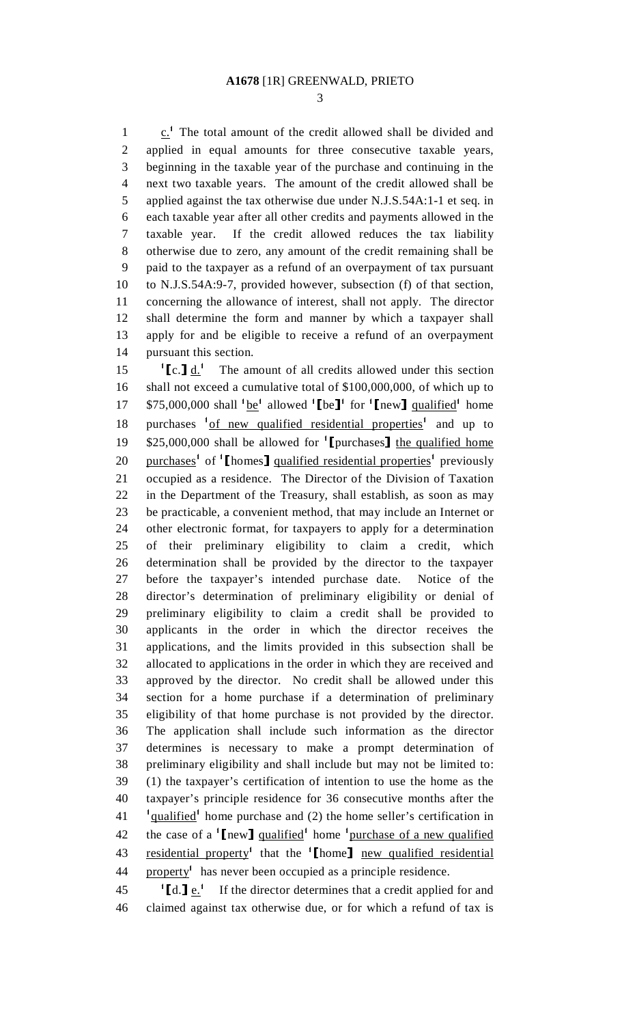3

1  $\therefore$  <sup>1</sup> The total amount of the credit allowed shall be divided and 2 applied in equal amounts for three consecutive taxable years, 3 beginning in the taxable year of the purchase and continuing in the 4 next two taxable years. The amount of the credit allowed shall be 5 applied against the tax otherwise due under N.J.S.54A:1-1 et seq. in 6 each taxable year after all other credits and payments allowed in the 7 taxable year. If the credit allowed reduces the tax liability 8 otherwise due to zero, any amount of the credit remaining shall be 9 paid to the taxpayer as a refund of an overpayment of tax pursuant 10 to N.J.S.54A:9-7, provided however, subsection (f) of that section, 11 concerning the allowance of interest, shall not apply. The director 12 shall determine the form and manner by which a taxpayer shall 13 apply for and be eligible to receive a refund of an overpayment 14 pursuant this section.

15  $\left[\text{c.}\right] \underline{\text{d.}}^1$  The amount of all credits allowed under this section 16 shall not exceed a cumulative total of \$100,000,000, of which up to 17 \$75,000,000 shall  $\frac{1}{2}$  be<sup>1</sup> allowed  $\left[$  be<sup>1</sup> for  $\left[$  new  $\right]$  qualified<sup>1</sup> home 18 purchases <sup>1</sup> of new qualified residential properties<sup>1</sup> and up to \$25,000,000 shall be allowed for  $'$ [purchases] the qualified home<br>20 purchases<sup>1</sup> of  $'$ [homes] qualified residential properties<sup>1</sup> previously 20 purchases<sup>1</sup> of  $\left[$  homes] qualified residential properties<sup>1</sup> previously 21 occupied as a residence. The Director of the Division of Taxation 22 in the Department of the Treasury, shall establish, as soon as may 23 be practicable, a convenient method, that may include an Internet or 24 other electronic format, for taxpayers to apply for a determination 25 of their preliminary eligibility to claim a credit, which 26 determination shall be provided by the director to the taxpayer 27 before the taxpayer's intended purchase date. Notice of the 28 director's determination of preliminary eligibility or denial of 29 preliminary eligibility to claim a credit shall be provided to 30 applicants in the order in which the director receives the 31 applications, and the limits provided in this subsection shall be 32 allocated to applications in the order in which they are received and 33 approved by the director. No credit shall be allowed under this 34 section for a home purchase if a determination of preliminary 35 eligibility of that home purchase is not provided by the director. 36 The application shall include such information as the director 37 determines is necessary to make a prompt determination of 38 preliminary eligibility and shall include but may not be limited to: 39 (1) the taxpayer's certification of intention to use the home as the 40 taxpayer's principle residence for 36 consecutive months after the 41 <sup>1</sup> qualified<sup>1</sup> home purchase and (2) the home seller's certification in 42 the case of a  $\lceil \text{new} \rceil$  qualified home  $\lceil \text{pure} \rceil$  home  $\lceil \text{number} \rceil$  a new qualified 43 residential property<sup>1</sup> that the <sup>1</sup>[home] <u>new qualified residential</u>  $44$  property<sup>1</sup> has never been occupied as a principle residence.

45  $[\text{d} \cdot \text{e}^{\text{1}}]$  If the director determines that a credit applied for and 46 claimed against tax otherwise due, or for which a refund of tax is